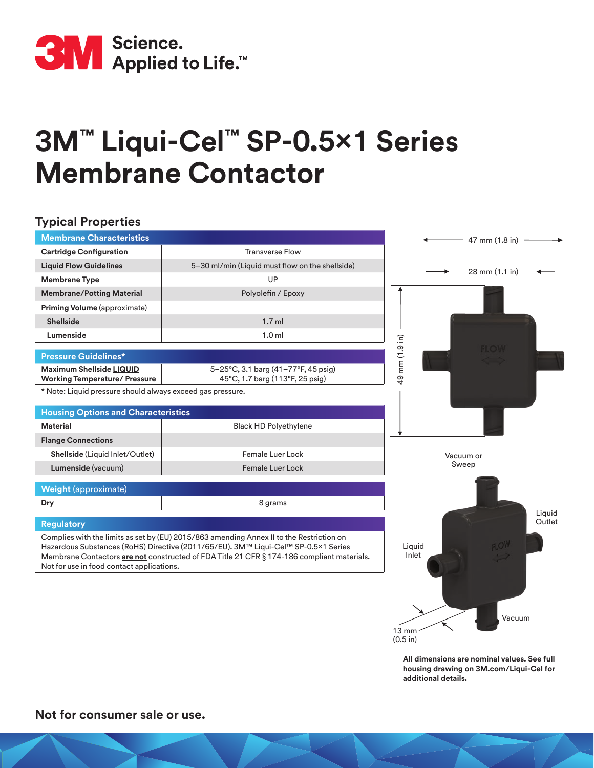

## **3M™ Liqui-Cel™ SP-0.5x1 Series Membrane Contactor**

## **Typical Properties**

| <b>Membrane Characteristics</b>                                         |                                                                                                                                                                                                                                                                              | 47 mm (1.8 in)  |                  |
|-------------------------------------------------------------------------|------------------------------------------------------------------------------------------------------------------------------------------------------------------------------------------------------------------------------------------------------------------------------|-----------------|------------------|
| <b>Cartridge Configuration</b>                                          | <b>Transverse Flow</b>                                                                                                                                                                                                                                                       |                 |                  |
| <b>Liquid Flow Guidelines</b>                                           | 5-30 ml/min (Liquid must flow on the shellside)                                                                                                                                                                                                                              | 28 mm (1.1 in)  |                  |
| <b>Membrane Type</b>                                                    | UP                                                                                                                                                                                                                                                                           |                 |                  |
| <b>Membrane/Potting Material</b>                                        | Polyolefin / Epoxy                                                                                                                                                                                                                                                           |                 |                  |
| Priming Volume (approximate)                                            |                                                                                                                                                                                                                                                                              |                 |                  |
| <b>Shellside</b>                                                        | $1.7$ ml                                                                                                                                                                                                                                                                     |                 |                  |
| Lumenside                                                               | 1.0 <sub>m</sub>                                                                                                                                                                                                                                                             |                 |                  |
| <b>Pressure Guidelines*</b>                                             |                                                                                                                                                                                                                                                                              | mm (1.9 in)     |                  |
| <b>Maximum Shellside LIQUID</b><br><b>Working Temperature/ Pressure</b> | 5-25°C, 3.1 barg (41-77°F, 45 psig)<br>45°C, 1.7 barg (113°F, 25 psig)                                                                                                                                                                                                       | QÞ              |                  |
| * Note: Liquid pressure should always exceed gas pressure.              |                                                                                                                                                                                                                                                                              |                 |                  |
| <b>Housing Options and Characteristics</b>                              |                                                                                                                                                                                                                                                                              |                 |                  |
| <b>Material</b>                                                         | <b>Black HD Polyethylene</b>                                                                                                                                                                                                                                                 |                 |                  |
| <b>Flange Connections</b>                                               |                                                                                                                                                                                                                                                                              |                 |                  |
| Shellside (Liquid Inlet/Outlet)                                         | Female Luer Lock                                                                                                                                                                                                                                                             | Vacuum or       |                  |
| Lumenside (vacuum)                                                      | <b>Female Luer Lock</b>                                                                                                                                                                                                                                                      | Sweep           |                  |
| <b>Weight (approximate)</b>                                             |                                                                                                                                                                                                                                                                              |                 |                  |
| Dry                                                                     | 8 grams                                                                                                                                                                                                                                                                      |                 |                  |
| <b>Regulatory</b>                                                       |                                                                                                                                                                                                                                                                              |                 | Liquid<br>Outlet |
| Not for use in food contact applications.                               | Complies with the limits as set by (EU) 2015/863 amending Annex II to the Restriction on<br>Hazardous Substances (RoHS) Directive (2011/65/EU). 3M™ Liqui-Cel™ SP-0.5×1 Series<br>Membrane Contactors are not constructed of FDA Title 21 CFR § 174-186 compliant materials. | Liquid<br>Inlet |                  |
|                                                                         |                                                                                                                                                                                                                                                                              |                 |                  |

**All dimensions are nominal values. See full housing drawing on 3M.com/Liqui-Cel for additional details.**

Vacuum

 $13 \text{ mm}$ (0.5 in)

**Not for consumer sale or use.**